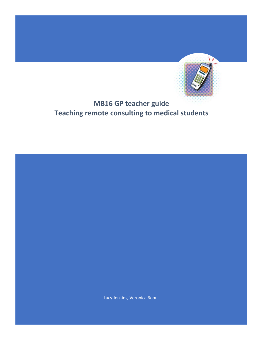

# **MB16 GP teacher guide Teaching remote consulting to medical students**

Lucy Jenkins, Veronica Boon.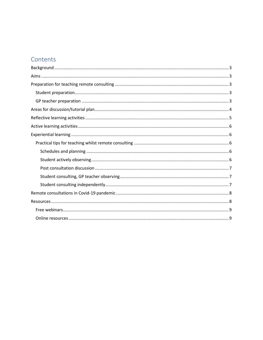# Contents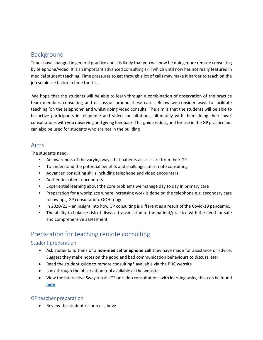# <span id="page-2-0"></span>Background

Times have changed in general practice and it is likely that you will now be doing more remote consulting by telephone/video. It is an important advanced consulting skill which until now has not really featured in medical student teaching. Time pressures to get through a lot of calls may make it harder to teach on the job so please factor in time for this.

We hope that the students will be able to learn through a combination of observation of the practice team members consulting and discussion around these cases. Below we consider ways to facilitate teaching 'on the telephone' and whilst doing video consults. The aim is that the students will be able to be active participants in telephone and video consultations, ultimately with them doing their 'own' consultations with you observing and giving feedback. This guide is designed for use in the GP practice but can also be used for students who are not in the building

## <span id="page-2-1"></span>Aims

The students need:

- An awareness of the varying ways that patients access care from their GP
- To understand the potential benefits and challenges of remote consulting
- Advanced consulting skills including telephone and video encounters
- Authentic patient encounters
- Experiential learning about the core problems we manage day to day in primary care
- Preparation for a workplace where increasing work is done on the telephone e.g. secondary care follow ups, GP consultation, OOH triage
- In 2020/21 an insight into how GP consulting is different as a result of the Covid-19 pandemic.
- The ability to balance risk of disease transmission to the patient/practice with the need for safe and comprehensive assessment

# <span id="page-2-2"></span>Preparation for teaching remote consulting

## <span id="page-2-3"></span>Student preparation

- Ask students to think of a **non-medical telephone call** they have made for assistance or advice. Suggest they make notes on the good and bad communication behaviours to discuss later
- Read the student guide to remote consulting\* available via the PHC website
- Look through the observation tool available at the website
- View the interactive Sway tutorial\*\* on video consultations with learning tasks, this can be found **[here](https://sway.office.com/TCNFJHBr9nGqLqrL?ref=Link)**

## <span id="page-2-4"></span>GP teacher preparation

• Review the student resources above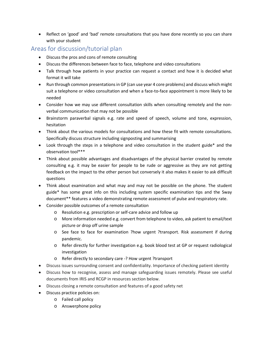• Reflect on 'good' and 'bad' remote consultations that you have done recently so you can share with your student

## <span id="page-3-0"></span>Areas for discussion/tutorial plan

- Discuss the pros and cons of remote consulting
- Discuss the differences between face to face, telephone and video consultations
- Talk through how patients in your practice can request a contact and how it is decided what format it will take
- Run through common presentations in GP (can use year 4 core problems) and discuss which might suit a telephone or video consultation and when a face-to-face appointment is more likely to be needed
- Consider how we may use different consultation skills when consulting remotely and the nonverbal communication that may not be possible
- Brainstorm paraverbal signals e.g. rate and speed of speech, volume and tone, expression, hesitation
- Think about the various models for consultations and how these fit with remote consultations. Specifically discuss structure including signposting and summarising
- Look through the steps in a telephone and video consultation in the student guide\* and the observation tool\*\*\*
- Think about possible advantages and disadvantages of the physical barrier created by remote consulting e.g. it may be easier for people to be rude or aggressive as they are not getting feedback on the impact to the other person but conversely it also makes it easier to ask difficult questions
- Think about examination and what may and may not be possible on the phone. The student guide\* has some great info on this including system specific examination tips and the Sway document\*\* features a video demonstrating remote assessment of pulse and respiratory rate.
- Consider possible outcomes of a remote consultation
	- o Resolution e.g. prescription or self-care advice and follow up
	- o More information needed e.g. convert from telephone to video, ask patient to email/text picture or drop off urine sample
	- o See face to face for examination ?how urgent ?transport. Risk assessment if during pandemic.
	- o Refer directly for further investigation e.g. book blood test at GP or request radiological investigation
	- o Refer directly to secondary care -? How urgent ?transport
- Discuss issues surrounding consent and confidentiality. Importance of checking patient identity
- Discuss how to recognise, assess and manage safeguarding issues remotely. Please see useful documents from IRIS and RCGP in resources section below.
- Discuss closing a remote consultation and features of a good safety net
- Discuss practice policies on:
	- o Failed call policy
	- o Answerphone policy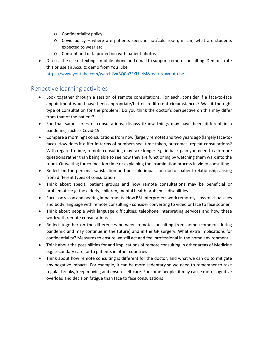- o Confidentiality policy
- $\circ$  Covid policy where are patients seen, in hot/cold room, in car, what are students expected to wear etc
- o Consent and data protection with patient photos
- Discuss the use of texting a mobile phone and email to support remote consulting. Demonstrate this or use an AccuRx demo from YouTube [https://www.youtube.com/watch?v=BQ0n7FXU\\_zM&feature=youtu.be](https://www.youtube.com/watch?v=BQ0n7FXU_zM&feature=youtu.be)

## <span id="page-4-0"></span>Reflective learning activities

- Look together through a session of remote consultations. For each, consider if a face-to-face appointment would have been appropriate/better in different circumstances? Was it the right type of consultation for the problem? Do you think the doctor's perspective on this may differ from that of the patient?
- For that same series of consultations, discuss if/how things may have been different in a pandemic, such as Covid-19
- Compare a morning's consultations from now (largely remote) and two years ago (largely face-toface). How does it differ in terms of numbers see, time taken, outcomes, repeat consultations? With regard to time, remote consulting may take longer e.g. in back pain you need to ask more questions rather than being able to see how they are functioning by watching them walk into the room. Or waiting for connection time or explaining the examination process in video consulting
- Reflect on the personal satisfaction and possible impact on doctor-patient relationship arising from different types of consultation
- Think about special patient groups and how remote consultations may be beneficial or problematic e.g. the elderly, children, mental health problems, disabilities
- Focus on vision and hearing impairments. How BSL interpreters work remotely. Loss of visual cues and body language with remote consulting - consider converting to video or face to face sooner
- Think about people with language difficulties: telephone interpreting services and how these work with remote consultations
- Reflect together on the differences between remote consulting from home (common during pandemic and may continue in the future) and in the GP surgery. What extra implications for confidentiality? Measures to ensure we still act and feel professional in the home environment
- Think about the possibilities for and implications of remote consulting in other areas of Medicine e.g. secondary care, or to patients in other countries
- Think about how remote consulting is different for the doctor, and what we can do to mitigate any negative impacts. For example, it can be more sedentary so we need to remember to take regular breaks, keep moving and ensure self-care. For some people, it may cause more cognitive overload and decision fatigue than face to face consultations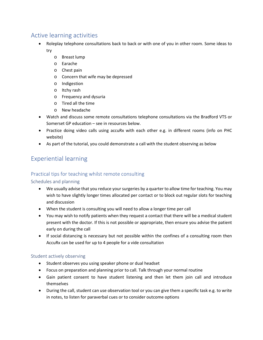# <span id="page-5-0"></span>Active learning activities

- Roleplay telephone consultations back to back or with one of you in other room. Some ideas to try
	- o Breast lump
	- o Earache
	- o Chest pain
	- o Concern that wife may be depressed
	- o Indigestion
	- o Itchy rash
	- o Frequency and dysuria
	- o Tired all the time
	- o New headache
- Watch and discuss some remote consultations telephone consultations via the Bradford VTS or Somerset GP education – see in resources below.
- Practice doing video calls using accuRx with each other e.g. in different rooms (info on PHC website)
- As part of the tutorial, you could demonstrate a call with the student observing as below

# <span id="page-5-1"></span>Experiential learning

## <span id="page-5-2"></span>Practical tips for teaching whilst remote consulting

### <span id="page-5-3"></span>Schedules and planning

- We usually advise that you reduce your surgeries by a quarter to allow time for teaching. You may wish to have slightly longer times allocated per contact or to block out regular slots for teaching and discussion
- When the student is consulting you will need to allow a longer time per call
- You may wish to notify patients when they request a contact that there will be a medical student present with the doctor. If this is not possible or appropriate, then ensure you advise the patient early on during the call
- If social distancing is necessary but not possible within the confines of a consulting room then AccuRx can be used for up to 4 people for a vide consultation

### <span id="page-5-4"></span>Student actively observing

- Student observes you using speaker phone or dual headset
- Focus on preparation and planning prior to call. Talk through your normal routine
- Gain patient consent to have student listening and then let them join call and introduce themselves
- During the call, student can use observation tool or you can give them a specific task e.g. to write in notes, to listen for paraverbal cues or to consider outcome options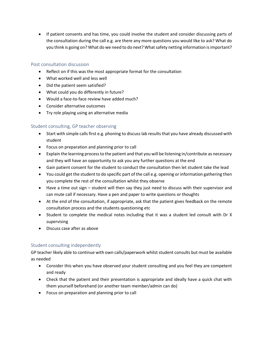• If patient consents and has time, you could involve the student and consider discussing parts of the consultation during the call e.g. are there any more questions you would like to ask? What do you think is going on? What do we need to do next? What safety netting information is important?

#### <span id="page-6-0"></span>Post consultation discussion

- Reflect on if this was the most appropriate format for the consultation
- What worked well and less well
- Did the patient seem satisfied?
- What could you do differently in future?
- Would a face-to-face review have added much?
- Consider alternative outcomes
- Try role playing using an alternative media

### <span id="page-6-1"></span>Student consulting, GP teacher observing

- Start with simple calls first e.g. phoning to discuss lab results that you have already discussed with student
- Focus on preparation and planning prior to call
- Explain the learning process to the patient and that you will be listening in/contribute as necessary and they will have an opportunity to ask you any further questions at the end
- Gain patient consent for the student to conduct the consultation then let student take the lead
- You could get the student to do specific part of the call e.g. opening or information gathering then you complete the rest of the consultation whilst they observe
- Have a time out sign student will then say they just need to discuss with their supervisor and can mute call if necessary. Have a pen and paper to write questions or thoughts
- At the end of the consultation, if appropriate, ask that the patient gives feedback on the remote consultation process and the students questioning etc
- Student to complete the medical notes including that it was a student led consult with Dr X supervising
- Discuss case after as above

### <span id="page-6-2"></span>Student consulting independently

GP teacher likely able to continue with own calls/paperwork whilst student consults but must be available as needed

- Consider this when you have observed your student consulting and you feel they are competent and ready
- Check that the patient and their presentation is appropriate and ideally have a quick chat with them yourself beforehand (or another team member/admin can do)
- Focus on preparation and planning prior to call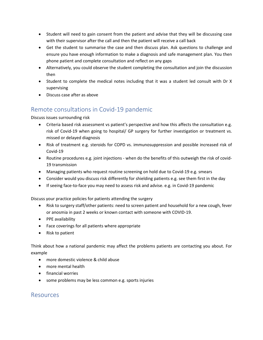- Student will need to gain consent from the patient and advise that they will be discussing case with their supervisor after the call and then the patient will receive a call back
- Get the student to summarise the case and then discuss plan. Ask questions to challenge and ensure you have enough information to make a diagnosis and safe management plan. You then phone patient and complete consultation and reflect on any gaps
- Alternatively, you could observe the student completing the consultation and join the discussion then
- Student to complete the medical notes including that it was a student led consult with Dr X supervising
- Discuss case after as above

# <span id="page-7-0"></span>Remote consultations in Covid-19 pandemic

Discuss issues surrounding risk

- Criteria based risk assessment vs patient's perspective and how this affects the consultation e.g. risk of Covid-19 when going to hospital/ GP surgery for further investigation or treatment vs. missed or delayed diagnosis
- Risk of treatment e.g. steroids for COPD vs. immunosuppression and possible increased risk of Covid-19
- Routine procedures e.g. joint injections when do the benefits of this outweigh the risk of covid-19 transmission
- Managing patients who request routine screening on hold due to Covid-19 e.g. smears
- Consider would you discuss risk differently for shielding patients e.g. see them first in the day
- If seeing face-to-face you may need to assess risk and advise. e.g. in Covid-19 pandemic

Discuss your practice policies for patients attending the surgery

- Risk to surgery staff/other patients: need to screen patient and household for a new cough, fever or anosmia in past 2 weeks or known contact with someone with COVID-19.
- PPE availability
- Face coverings for all patients where appropriate
- Risk to patient

Think about how a national pandemic may affect the problems patients are contacting you about. For example

- more domestic violence & child abuse
- more mental health
- financial worries
- some problems may be less common e.g. sports injuries

## <span id="page-7-1"></span>Resources